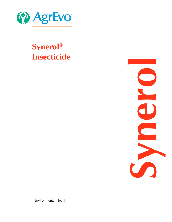

# **Synerol ® Insecticide**

**Synerol**

Environmental Health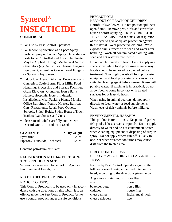# **Synerol® INSECTICIDE**

# **COMMERCIAL**

- \* For Use by Pest Control Operators
- \* For Indoor Application as a Space Spray, Surface Spray or Contact Spray, Depending on Pests to be Controlled and Area to be Treated. May be Applied Through Mechanical Aerosol Generators (e.g. Actisol) or Thermal Fogging Equipment, as Well as Conventional Fogging or Spraying Equipment.
- \* Indoor Use Areas: Bakeries, Beverage Plants, Canneries, Cattle Barns, Flour Mills, Food Handling, Processing and Storage Facilities, Grain Elevators, Granaries, Horse Barns, Homes, Hospitals, Hotels, Industrial Installations, Meat Packing Plants, Motels, Office Buildings, Poultry Houses, Railroad Cars, Restaurants, Retail Food Outlets, Schools, Ships' Holds, Swine Houses, Truck Trailers, Warehouses and Zoos.
- \* Please Read Label Carefully and Do Not Discard Until All Product is Used.

| <b>GUARANTEE:</b>             | $\%$ by weight |
|-------------------------------|----------------|
| Pyrethrins                    | 2.5%           |
| Piperonyl Butoxide, Technical | 12.5%          |

Contains petroleum distillates

# **REGISTRATION NO 15649 PEST CON-TROL PRODUCTS ACT**

Synerol is a registered trademark of AgrEvo Environmental Health, Inc.

# READ LABEL BEFORE USING

# NOTICE TO USER:

This Control Product is to be used only in accordance with the directions on this label. It is an offence under the Pest Control Products Act to use a control product under unsafe conditions.

### PRECAUTIONS KEEP OUT OF REACH OF CHILDREN.

Harmful if swallowed. Do not pour or spill near open flame. Remove pets, birds and cover fish aquaria before spraying. DO NOT BREATHE THE SPRAY MIST. Wear a mask or respirator of the type to give adequate protection against this material. Wear protective clothing. Wash exposed skin surfaces with soap and water after handling. Wash all contaminated clothing with soap and hot water before re-use.

Do not apply directly to food. Do not apply as a space spray while food processing is underway. Foods should be removed or covered before treatment. Thoroughly wash all food processing equipment and food processing surfaces with a suitable cleaning agent before re-use. Rinse with potable water. If washing is impractical, do not allow food to come in contact with treated surfaces for at least 48 hours.

When using in animal quarters, do not apply directly to feed, water or feed supplements. Wash teats of dairy animals before milking.

# ENVIRONMENTAL HAZARDS

This product is toxic to fish. Keep out of garden fish pools, lakes, streams or ponds. Do not apply directly to water and do not contaminate water when cleaning equipment or disposing of surplus spray. Do not apply where run-off is likely to occur or when weather conditions may cause drift from the treated area.

# DIRECTIONS FOR USE

# USE ONLY ACCORDING TO LABEL DIREC-**TIONS**

For use by Pest Control Operators against the following insect pests, either undiluted or diluted, according to the directions given below.

| Angoumois grain moths | horn flies       |
|-----------------------|------------------|
| ants                  | hornets          |
| boxelder bugs         | horse flies      |
| cadelles              | house flies      |
| cheese mites          | Indian meal moth |
| cheese skippers       | lice             |
|                       |                  |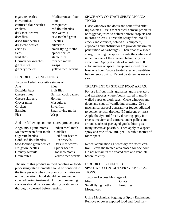| cigarette beetles      | Mediterranean flour |
|------------------------|---------------------|
| clover mites           | moth                |
| confused flour beetles | mosquitoes          |
| crickets               | red flour beetles   |
| dark meal worms        | rice weevils        |
| deer flies             | saw-toothed grain   |
| dried fruit beetles    | beetles             |
| drugstore beetles      | silverfish          |
| earwigs                | small flying moths  |
| fleas                  | spider beetles      |
| fruit flies            | stable flies        |
| German cockroaches     | tobacco moths       |
| grain mites            | wasps               |
| granary weevils        | yellow meal worms   |
|                        |                     |

#### INDOOR USE - UNDILUTED

To control adult accessible stages of

| Flies              |
|--------------------|
| <b>Fruit flies</b> |
| German cockroaches |
| Hornets            |
| Mosquitoes         |
| Silverfish         |
| Small flying moths |
| Wasps              |
|                    |

And the following common stored product pests

| Angoumois grain moths     | Indian meal moth        |
|---------------------------|-------------------------|
| Mediterranean flour moth  | Cadelles                |
| Cigarette beetles         | Red flour beetles       |
| Confused flour beetles    | Rice weevils            |
| Saw-toothed grain beetles | Dark mealworms          |
| Drugstore beetles         | Spider beetles          |
| Granary weevils           | Tobacco moths           |
| Grain mites               | <b>Yellow mealworms</b> |
|                           |                         |

The use of this product in food handling or foodprocessing establishments should be confined to the time periods when the plants or facilities are not in operation. Food should be removed or covered during treatment. All food processing surfaces should be covered during treatment or thoroughly cleaned before reusing.

## SPACE AND CONTACT SPRAY APPLICA-TIONS:

Close windows and doors and shut off ventilating systems. Use a mechanical aerosol generator or fogger adjusted to deliver aerosol droplets (30 microns or less). Direct the spray first into all cracks and crevices, behind all equipment, cupboards and obstructions to provide maximum penetration of harborages. Then treat as a space spray, directing the spray towards the ceiling and upper corners of the area and behind any obstructions. Apply at a rate of 40 mL per 100 cubic metres of space. Keep area closed for at least one hour. Vacate treated area and ventilate before reoccupying. Repeat treatment as necessary.

### TREATMENT OF STORED FOOD AREAS:

For use in flour mills, granaries, grain elevators and warehouses where food is stored in multiwalled paper or cloth bags. Close windows and doors and shut off ventilating systems. Use a mechanical aerosol generator or fogger adjusted to deliver aerosol droplets (30 microns or less). Apply the Synerol first by directing spray into cracks, crevices and corners, under pallets and around stacks of packaged goods, hitting as many insects as possible. Then apply as a space spray at a rate of 260 mL per 100 cubic metres of room space.

Repeat application as necessary for insect control. Leave the treated area closed for one hour. Do not remain in the treated area and ventilate before re-entry.

## INDOOR USE - DILUTED SPACE AND CONTACT SPRAY APPLICA-TIONS:

To control accessible stages of: Flies Gnats Small flying moths Fruit flies Mosquitoes

Using Mechanical Fogging or Spray Equipment: Remove or cover exposed food and food han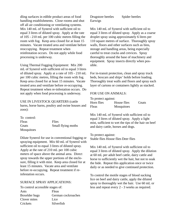dling surfaces in edible product areas of food handling establishments. Close rooms and shut off all air conditioning or ventilating systems. Mix 140 mL of Synerol with sufficient oil to equal 3 litres of diluted spray. Apply at the rate of 105 - 210 mL per 100 cubic metres filling the room with fog. Keep area closed for at least 15 minutes. Vacate treated area and ventilate before reoccupying. Repeat treatment when reinfestation occurs. Do not apply while food processing is underway.

Using Thermal Fogging Equipment: Mix 200 mL of Synerol with sufficient oil to equal 3 litres of diluted spray. Apply at a rate of 105 - 210 mL per 100 cubic metres, filling the room with fog. Keep area closed for at least 15 minutes. Vacate treated area and ventilate before re-occupying. Repeat treatment when re-infestation occurs. Do not apply when food processing is underway.

USE IN LIVESTOCK QUARTERS (cattle barns, horse barns, poultry and swine houses and zoos):

| To control: |                    |
|-------------|--------------------|
| Fleas       | Flies              |
| Gnats       | Small flying moths |
| Mosquitoes  |                    |

Dilute Synerol for use in conventional fogging or spraying equipment. Mix 60 mL of Synerol with sufficient oil to equal 3 litres of diluted spray. Apply at the rate of 210 mL per 100 cubic meters of space above the animal area. Direct spray towards the upper portions of the enclosure, filling it with mist. Keep area closed for at least 15 minutes. Vacate area and ventilate before re-occupying. Repeat treatment if reinfestation occurs.

#### SURFACE SPRAY APPLICATIONS:

To control accessible stages of: Ants Fleas Boxelder bugs German cockroaches Clover mites Lice Crickets Silverfish

Drugstore beetles Spider beetles Earwigs

Mix 140 mL of Synerol with sufficient oil to equal 3 litres of diluted spray. Apply as a coarse droplet spray using approximately 6 litres per 110 square metres of surface. Thoroughly spray walls, floors and other surfaces such as bins, storage and handling areas, being especially careful to treat cracks and crevices. Spray thoroughly around the base of machinery and equipment. Spray insects directly when possible.

For in-transit protection, clean and spray truck beds, boxcars and ships' holds before loading. Thoroughly treat walls and floors and spray each layer of cartons or containers lightly as stacked.

#### FOR USE ON ANIMALS:

| To protect against: |             |       |
|---------------------|-------------|-------|
| Horn flies          | House flies | Gnats |
| Fleas               | Mosquitoes  |       |

Mix 140 mL of Synerol with sufficient oil to equal 3 litres of diluted spray. Apply a light mist, sufficient to wet the tips of the hair on beef and dairy cattle, horses and dogs.

To protect against: Stable flies House flies Deer flies

Mix 140 mL of Synerol with sufficient oil to equal 3 litres of diluted spray. Apply the dilution at 60 mL per adult beef cattle, dairy cattle and horse to sufficiently wet the hair, but not to soak the hide. Repeat this application once or twice daily or as needed to give continued protection.

To control the motile stages of blood sucking lice on beef and dairy cattle, apply the diluted spray to thoroughly wet the hair. Use 60 mL or less and repeat every 2 - 3 weeks as required.